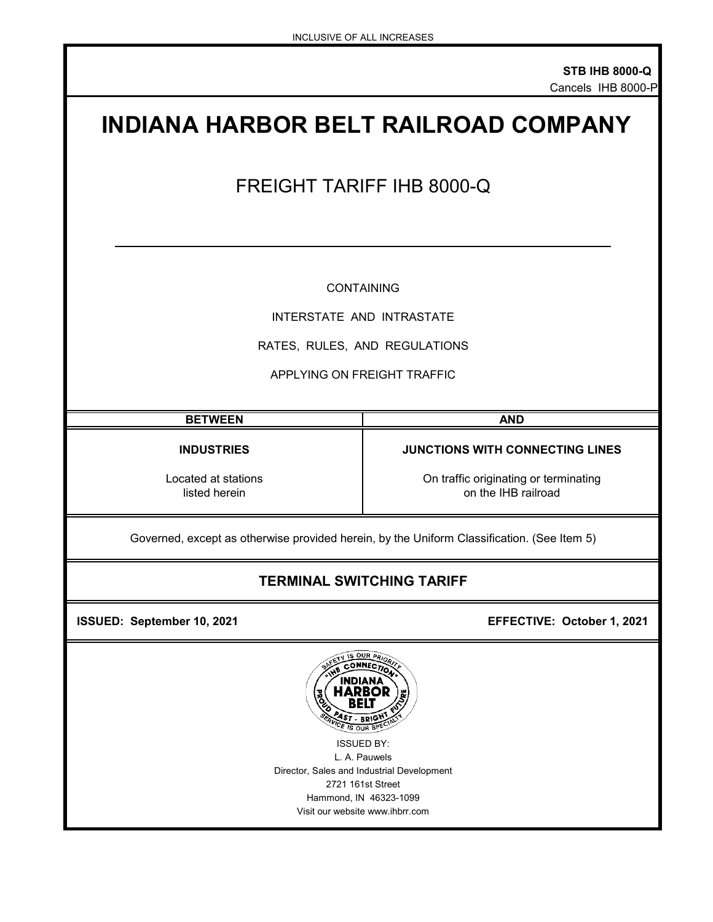# **INDIANA HARBOR BELT RAILROAD COMPANY** FREIGHT TARIFF IHB 8000-Q CONTAINING INTERSTATE AND INTRASTATE RATES, RULES, AND REGULATIONS APPLYING ON FREIGHT TRAFFIC **BETWEEN AND INDUSTRIES JUNCTIONS WITH CONNECTING LINES** Located at stations **Located at stations** On traffic originating or terminating listed herein

on the IHB railroad

Governed, except as otherwise provided herein, by the Uniform Classification. (See Item 5)

# **TERMINAL SWITCHING TARIFF**

 **ISSUED: September 10, 2021 EFFECTIVE: October 1, 2021** 



Visit our website www.ihbrr.com Hammond, IN 46323-1099 ISSUED BY: L. A. Pauwels Director, Sales and Industrial Development 2721 161st Street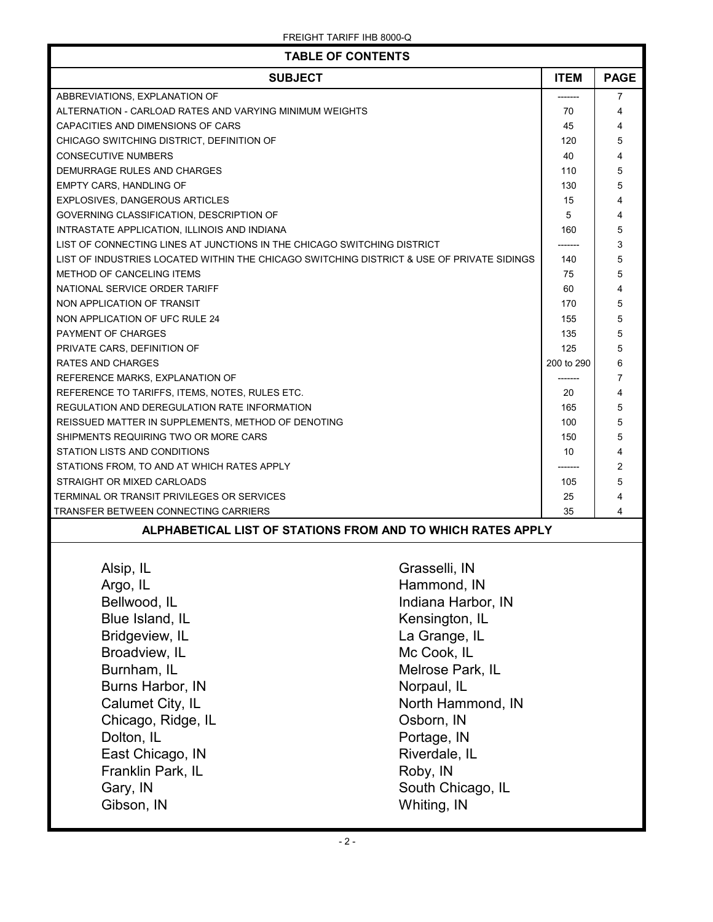| <b>TABLE OF CONTENTS</b>                                                                  |                    |            |                |
|-------------------------------------------------------------------------------------------|--------------------|------------|----------------|
| <b>SUBJECT</b>                                                                            |                    |            | <b>PAGE</b>    |
| ABBREVIATIONS, EXPLANATION OF                                                             |                    |            | $\overline{7}$ |
| ALTERNATION - CARLOAD RATES AND VARYING MINIMUM WEIGHTS                                   | 70                 | 4          |                |
| CAPACITIES AND DIMENSIONS OF CARS                                                         |                    | 45         | 4              |
| CHICAGO SWITCHING DISTRICT, DEFINITION OF                                                 |                    | 120        | 5              |
| <b>CONSECUTIVE NUMBERS</b>                                                                |                    | 40         | 4              |
| DEMURRAGE RULES AND CHARGES                                                               |                    | 110        | 5              |
| <b>EMPTY CARS, HANDLING OF</b>                                                            |                    | 130        | 5              |
| EXPLOSIVES, DANGEROUS ARTICLES                                                            |                    | 15         | 4              |
| GOVERNING CLASSIFICATION, DESCRIPTION OF                                                  |                    | 5          | 4              |
| INTRASTATE APPLICATION, ILLINOIS AND INDIANA                                              |                    | 160        | 5              |
| LIST OF CONNECTING LINES AT JUNCTIONS IN THE CHICAGO SWITCHING DISTRICT                   |                    |            | 3              |
| LIST OF INDUSTRIES LOCATED WITHIN THE CHICAGO SWITCHING DISTRICT & USE OF PRIVATE SIDINGS |                    | 140        | 5              |
| METHOD OF CANCELING ITEMS                                                                 |                    | 75         | 5              |
| NATIONAL SERVICE ORDER TARIFF                                                             |                    | 60         | 4              |
| NON APPLICATION OF TRANSIT                                                                |                    | 170        | 5              |
| NON APPLICATION OF UFC RULE 24                                                            |                    | 155        | 5              |
| <b>PAYMENT OF CHARGES</b>                                                                 |                    | 135        | 5              |
| PRIVATE CARS, DEFINITION OF                                                               |                    | 125        | 5              |
| RATES AND CHARGES                                                                         |                    | 200 to 290 | 6              |
| REFERENCE MARKS, EXPLANATION OF                                                           |                    | -------    | $\overline{7}$ |
| REFERENCE TO TARIFFS, ITEMS, NOTES, RULES ETC.                                            |                    | 20         | 4              |
| REGULATION AND DEREGULATION RATE INFORMATION                                              |                    | 165        | 5              |
| REISSUED MATTER IN SUPPLEMENTS, METHOD OF DENOTING                                        |                    | 100        | 5              |
| SHIPMENTS REQUIRING TWO OR MORE CARS                                                      | 150                | 5          |                |
| STATION LISTS AND CONDITIONS                                                              |                    | 10         | 4              |
| STATIONS FROM, TO AND AT WHICH RATES APPLY                                                |                    | 2          |                |
| STRAIGHT OR MIXED CARLOADS                                                                | 105                | 5          |                |
| TERMINAL OR TRANSIT PRIVILEGES OR SERVICES                                                |                    |            | 4              |
| TRANSFER BETWEEN CONNECTING CARRIERS                                                      |                    |            | 4              |
| ALPHABETICAL LIST OF STATIONS FROM AND TO WHICH RATES APPLY                               |                    |            |                |
| Alsip, IL                                                                                 | Grasselli, IN      |            |                |
|                                                                                           |                    |            |                |
| Argo, IL                                                                                  | Hammond, IN        |            |                |
| Bellwood, IL                                                                              | Indiana Harbor, IN |            |                |
| Blue Island, IL                                                                           | Kensington, IL     |            |                |
| Bridgeview, IL                                                                            | La Grange, IL      |            |                |
| Broadview, IL                                                                             | Mc Cook, IL        |            |                |
| Burnham, IL                                                                               | Melrose Park, IL   |            |                |
| Burns Harbor, IN                                                                          | Norpaul, IL        |            |                |
|                                                                                           |                    |            |                |
| Calumet City, IL                                                                          | North Hammond, IN  |            |                |
| Chicago, Ridge, IL                                                                        | Osborn, IN         |            |                |
| Dolton, IL<br>Portage, IN                                                                 |                    |            |                |
| East Chicago, IN<br>Riverdale, IL                                                         |                    |            |                |
| Franklin Park, IL                                                                         | Roby, IN           |            |                |
| Gary, IN                                                                                  | South Chicago, IL  |            |                |
| Gibson, IN                                                                                | Whiting, IN        |            |                |
|                                                                                           |                    |            |                |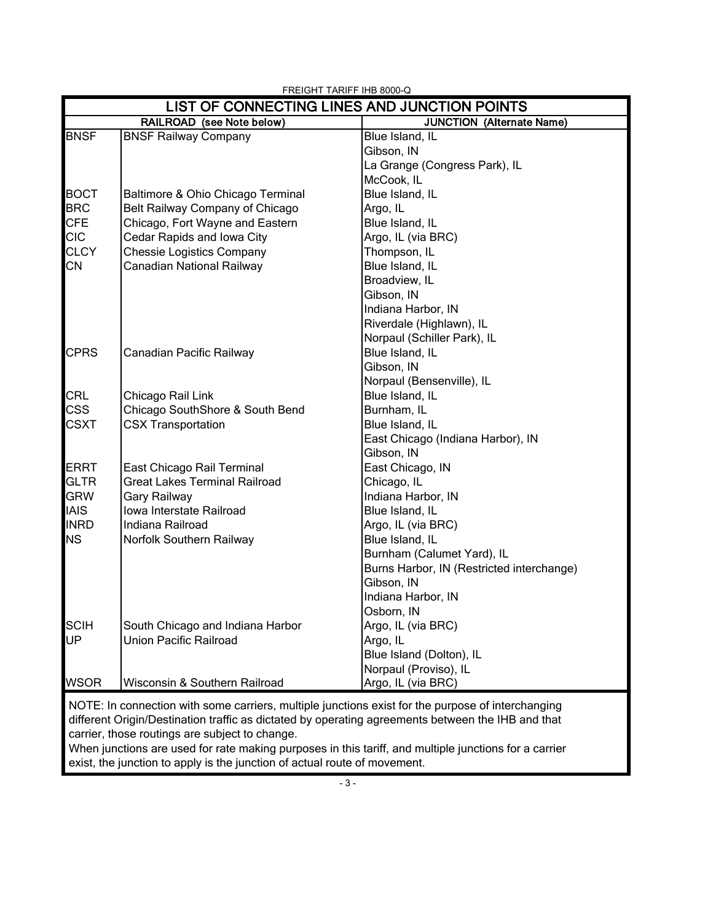|                   |                                                                   | LIST OF CONNECTING LINES AND JUNCTION POINTS                                                      |
|-------------------|-------------------------------------------------------------------|---------------------------------------------------------------------------------------------------|
|                   | RAILROAD (see Note below)                                         | <b>JUNCTION (Alternate Name)</b>                                                                  |
| <b>BNSF</b>       | <b>BNSF Railway Company</b>                                       | Blue Island, IL                                                                                   |
|                   |                                                                   | Gibson, IN                                                                                        |
|                   |                                                                   | La Grange (Congress Park), IL                                                                     |
|                   |                                                                   | McCook, IL                                                                                        |
| <b>BOCT</b>       | Baltimore & Ohio Chicago Terminal                                 | Blue Island, IL                                                                                   |
| <b>BRC</b>        | Belt Railway Company of Chicago                                   | Argo, IL                                                                                          |
| <b>CFE</b>        | Chicago, Fort Wayne and Eastern                                   | Blue Island, IL                                                                                   |
| <b>CIC</b>        | Cedar Rapids and Iowa City                                        | Argo, IL (via BRC)                                                                                |
| <b>CLCY</b>       | <b>Chessie Logistics Company</b>                                  | Thompson, IL                                                                                      |
| <b>CN</b>         | Canadian National Railway                                         | Blue Island, IL                                                                                   |
|                   |                                                                   | Broadview, IL                                                                                     |
|                   |                                                                   | Gibson, IN                                                                                        |
|                   |                                                                   | Indiana Harbor, IN                                                                                |
|                   |                                                                   | Riverdale (Highlawn), IL                                                                          |
|                   |                                                                   | Norpaul (Schiller Park), IL                                                                       |
| <b>CPRS</b>       | Canadian Pacific Railway                                          | Blue Island, IL                                                                                   |
|                   |                                                                   | Gibson, IN                                                                                        |
|                   |                                                                   | Norpaul (Bensenville), IL                                                                         |
| <b>CRL</b>        | Chicago Rail Link                                                 | Blue Island, IL                                                                                   |
| <b>CSS</b>        | Chicago SouthShore & South Bend                                   | Burnham, IL                                                                                       |
| <b>CSXT</b>       | <b>CSX Transportation</b>                                         | Blue Island, IL                                                                                   |
|                   |                                                                   | East Chicago (Indiana Harbor), IN                                                                 |
|                   |                                                                   | Gibson, IN                                                                                        |
| <b>ERRT</b>       | East Chicago Rail Terminal                                        | East Chicago, IN                                                                                  |
| <b>GLTR</b>       | <b>Great Lakes Terminal Railroad</b>                              | Chicago, IL                                                                                       |
| <b>GRW</b>        | Gary Railway                                                      | Indiana Harbor, IN                                                                                |
| <b>IAIS</b>       | Iowa Interstate Railroad                                          | Blue Island, IL                                                                                   |
| <b>INRD</b>       | Indiana Railroad                                                  | Argo, IL (via BRC)                                                                                |
| <b>NS</b>         | Norfolk Southern Railway                                          | Blue Island, IL                                                                                   |
|                   |                                                                   | Burnham (Calumet Yard), IL                                                                        |
|                   |                                                                   | Burns Harbor, IN (Restricted interchange)                                                         |
|                   |                                                                   | Gibson, IN                                                                                        |
|                   |                                                                   | Indiana Harbor, IN                                                                                |
|                   |                                                                   | Osborn, IN                                                                                        |
| <b>SCIH</b><br>UP | South Chicago and Indiana Harbor<br><b>Union Pacific Railroad</b> | Argo, IL (via BRC)                                                                                |
|                   |                                                                   | Argo, IL<br>Blue Island (Dolton), IL                                                              |
|                   |                                                                   | Norpaul (Proviso), IL                                                                             |
| <b>WSOR</b>       | Wisconsin & Southern Railroad                                     | Argo, IL (via BRC)                                                                                |
|                   |                                                                   |                                                                                                   |
|                   |                                                                   | NOTE: In connection with some carriers, multiple junctions exist for the purpose of interchanging |
|                   |                                                                   | different Origin/Destination traffic as dictated by operating agreements between the IHB and that |
|                   | carrier, those routings are subject to change.                    |                                                                                                   |

 When junctions are used for rate making purposes in this tariff, and multiple junctions for a carrier exist, the junction to apply is the junction of actual route of movement.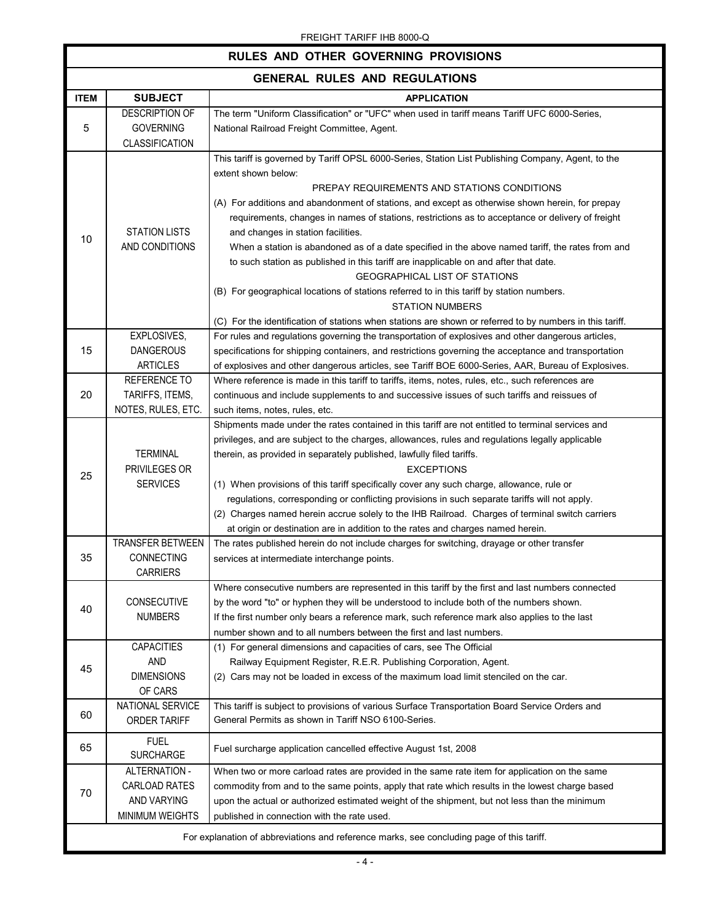| RULES AND OTHER GOVERNING PROVISIONS                                                      |                                                                    |                                                                                                                                                                                                                                                                                                                                                                                                                                                                                                                                                                                                                                                                                                                                                                                                                                                                                              |  |
|-------------------------------------------------------------------------------------------|--------------------------------------------------------------------|----------------------------------------------------------------------------------------------------------------------------------------------------------------------------------------------------------------------------------------------------------------------------------------------------------------------------------------------------------------------------------------------------------------------------------------------------------------------------------------------------------------------------------------------------------------------------------------------------------------------------------------------------------------------------------------------------------------------------------------------------------------------------------------------------------------------------------------------------------------------------------------------|--|
| <b>GENERAL RULES AND REGULATIONS</b>                                                      |                                                                    |                                                                                                                                                                                                                                                                                                                                                                                                                                                                                                                                                                                                                                                                                                                                                                                                                                                                                              |  |
| <b>ITEM</b>                                                                               | <b>SUBJECT</b>                                                     | <b>APPLICATION</b>                                                                                                                                                                                                                                                                                                                                                                                                                                                                                                                                                                                                                                                                                                                                                                                                                                                                           |  |
| 5                                                                                         | <b>DESCRIPTION OF</b><br><b>GOVERNING</b><br><b>CLASSIFICATION</b> | The term "Uniform Classification" or "UFC" when used in tariff means Tariff UFC 6000-Series,<br>National Railroad Freight Committee, Agent.                                                                                                                                                                                                                                                                                                                                                                                                                                                                                                                                                                                                                                                                                                                                                  |  |
| 10                                                                                        | <b>STATION LISTS</b><br>AND CONDITIONS                             | This tariff is governed by Tariff OPSL 6000-Series, Station List Publishing Company, Agent, to the<br>extent shown below:<br>PREPAY REQUIREMENTS AND STATIONS CONDITIONS<br>(A) For additions and abandonment of stations, and except as otherwise shown herein, for prepay<br>requirements, changes in names of stations, restrictions as to acceptance or delivery of freight<br>and changes in station facilities.<br>When a station is abandoned as of a date specified in the above named tariff, the rates from and<br>to such station as published in this tariff are inapplicable on and after that date.<br><b>GEOGRAPHICAL LIST OF STATIONS</b><br>(B) For geographical locations of stations referred to in this tariff by station numbers.<br><b>STATION NUMBERS</b><br>(C) For the identification of stations when stations are shown or referred to by numbers in this tariff. |  |
| 15                                                                                        | EXPLOSIVES,<br><b>DANGEROUS</b><br><b>ARTICLES</b>                 | For rules and regulations governing the transportation of explosives and other dangerous articles,<br>specifications for shipping containers, and restrictions governing the acceptance and transportation<br>of explosives and other dangerous articles, see Tariff BOE 6000-Series, AAR, Bureau of Explosives.                                                                                                                                                                                                                                                                                                                                                                                                                                                                                                                                                                             |  |
| 20                                                                                        | REFERENCE TO<br>TARIFFS, ITEMS,<br>NOTES, RULES, ETC.              | Where reference is made in this tariff to tariffs, items, notes, rules, etc., such references are<br>continuous and include supplements to and successive issues of such tariffs and reissues of<br>such items, notes, rules, etc.                                                                                                                                                                                                                                                                                                                                                                                                                                                                                                                                                                                                                                                           |  |
| 25                                                                                        | <b>TERMINAL</b><br>PRIVILEGES OR<br><b>SERVICES</b>                | Shipments made under the rates contained in this tariff are not entitled to terminal services and<br>privileges, and are subject to the charges, allowances, rules and regulations legally applicable<br>therein, as provided in separately published, lawfully filed tariffs.<br><b>EXCEPTIONS</b><br>(1) When provisions of this tariff specifically cover any such charge, allowance, rule or<br>regulations, corresponding or conflicting provisions in such separate tariffs will not apply.<br>(2) Charges named herein accrue solely to the IHB Railroad. Charges of terminal switch carriers<br>at origin or destination are in addition to the rates and charges named herein.                                                                                                                                                                                                      |  |
| 35                                                                                        | TRANSFER BETWEEN<br>CONNECTING<br><b>CARRIERS</b>                  | The rates published herein do not include charges for switching, drayage or other transfer<br>services at intermediate interchange points.                                                                                                                                                                                                                                                                                                                                                                                                                                                                                                                                                                                                                                                                                                                                                   |  |
| 40                                                                                        | CONSECUTIVE<br><b>NUMBERS</b>                                      | Where consecutive numbers are represented in this tariff by the first and last numbers connected<br>by the word "to" or hyphen they will be understood to include both of the numbers shown.<br>If the first number only bears a reference mark, such reference mark also applies to the last<br>number shown and to all numbers between the first and last numbers.                                                                                                                                                                                                                                                                                                                                                                                                                                                                                                                         |  |
| 45                                                                                        | <b>CAPACITIES</b><br><b>AND</b><br><b>DIMENSIONS</b><br>OF CARS    | (1) For general dimensions and capacities of cars, see The Official<br>Railway Equipment Register, R.E.R. Publishing Corporation, Agent.<br>(2) Cars may not be loaded in excess of the maximum load limit stenciled on the car.                                                                                                                                                                                                                                                                                                                                                                                                                                                                                                                                                                                                                                                             |  |
| 60                                                                                        | NATIONAL SERVICE<br><b>ORDER TARIFF</b>                            | This tariff is subject to provisions of various Surface Transportation Board Service Orders and<br>General Permits as shown in Tariff NSO 6100-Series.                                                                                                                                                                                                                                                                                                                                                                                                                                                                                                                                                                                                                                                                                                                                       |  |
| 65                                                                                        | <b>FUEL</b><br><b>SURCHARGE</b>                                    | Fuel surcharge application cancelled effective August 1st, 2008                                                                                                                                                                                                                                                                                                                                                                                                                                                                                                                                                                                                                                                                                                                                                                                                                              |  |
| 70                                                                                        | ALTERNATION -<br>CARLOAD RATES<br>AND VARYING<br>MINIMUM WEIGHTS   | When two or more carload rates are provided in the same rate item for application on the same<br>commodity from and to the same points, apply that rate which results in the lowest charge based<br>upon the actual or authorized estimated weight of the shipment, but not less than the minimum<br>published in connection with the rate used.                                                                                                                                                                                                                                                                                                                                                                                                                                                                                                                                             |  |
| For explanation of abbreviations and reference marks, see concluding page of this tariff. |                                                                    |                                                                                                                                                                                                                                                                                                                                                                                                                                                                                                                                                                                                                                                                                                                                                                                                                                                                                              |  |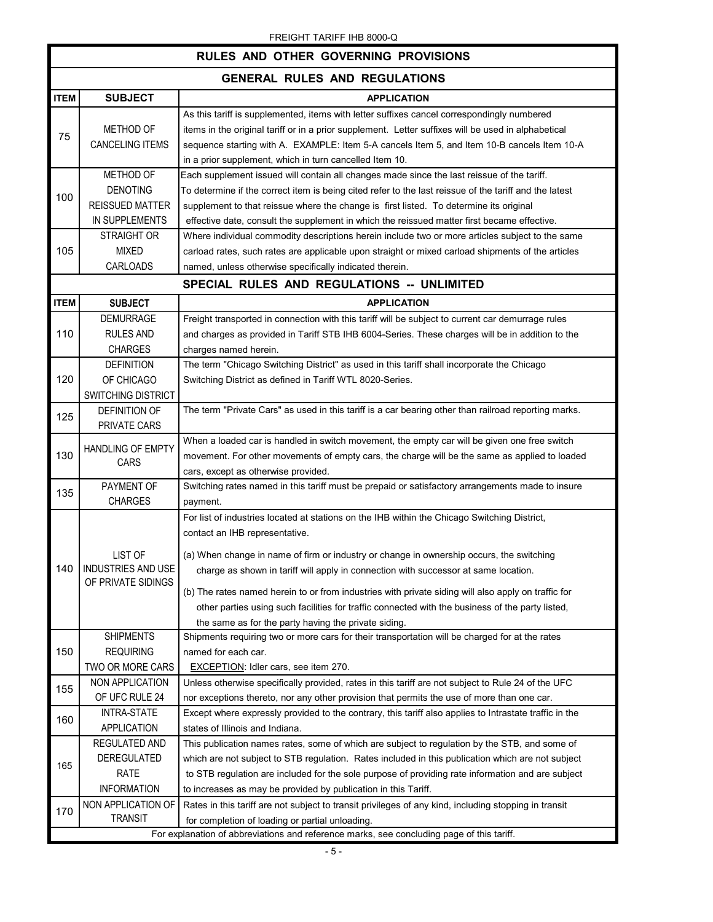|                                                                                                                                                                                                                                                                                                                                 | <b>FREIGHT TARIFF IND OUU-Q</b><br><b>RULES AND OTHER GOVERNING PROVISIONS</b>            |                                                                                                                                                                                                                                                                                                                                                                                                                                                                                                                                                                                      |  |  |
|---------------------------------------------------------------------------------------------------------------------------------------------------------------------------------------------------------------------------------------------------------------------------------------------------------------------------------|-------------------------------------------------------------------------------------------|--------------------------------------------------------------------------------------------------------------------------------------------------------------------------------------------------------------------------------------------------------------------------------------------------------------------------------------------------------------------------------------------------------------------------------------------------------------------------------------------------------------------------------------------------------------------------------------|--|--|
|                                                                                                                                                                                                                                                                                                                                 |                                                                                           |                                                                                                                                                                                                                                                                                                                                                                                                                                                                                                                                                                                      |  |  |
|                                                                                                                                                                                                                                                                                                                                 |                                                                                           | <b>GENERAL RULES AND REGULATIONS</b>                                                                                                                                                                                                                                                                                                                                                                                                                                                                                                                                                 |  |  |
| <b>ITEM</b>                                                                                                                                                                                                                                                                                                                     | <b>SUBJECT</b>                                                                            | <b>APPLICATION</b>                                                                                                                                                                                                                                                                                                                                                                                                                                                                                                                                                                   |  |  |
| 75                                                                                                                                                                                                                                                                                                                              | METHOD OF<br><b>CANCELING ITEMS</b>                                                       | As this tariff is supplemented, items with letter suffixes cancel correspondingly numbered<br>items in the original tariff or in a prior supplement. Letter suffixes will be used in alphabetical<br>sequence starting with A. EXAMPLE: Item 5-A cancels Item 5, and Item 10-B cancels Item 10-A<br>in a prior supplement, which in turn cancelled Item 10.                                                                                                                                                                                                                          |  |  |
| 100                                                                                                                                                                                                                                                                                                                             | METHOD OF<br><b>DENOTING</b><br><b>REISSUED MATTER</b><br>IN SUPPLEMENTS                  | Each supplement issued will contain all changes made since the last reissue of the tariff.<br>To determine if the correct item is being cited refer to the last reissue of the tariff and the latest<br>supplement to that reissue where the change is first listed. To determine its original<br>effective date, consult the supplement in which the reissued matter first became effective.                                                                                                                                                                                        |  |  |
| <b>STRAIGHT OR</b><br>Where individual commodity descriptions herein include two or more articles subject to the same<br>105<br><b>MIXED</b><br>carload rates, such rates are applicable upon straight or mixed carload shipments of the articles<br><b>CARLOADS</b><br>named, unless otherwise specifically indicated therein. |                                                                                           |                                                                                                                                                                                                                                                                                                                                                                                                                                                                                                                                                                                      |  |  |
|                                                                                                                                                                                                                                                                                                                                 |                                                                                           | SPECIAL RULES AND REGULATIONS -- UNLIMITED                                                                                                                                                                                                                                                                                                                                                                                                                                                                                                                                           |  |  |
| <b>ITEM</b>                                                                                                                                                                                                                                                                                                                     | <b>SUBJECT</b>                                                                            | <b>APPLICATION</b>                                                                                                                                                                                                                                                                                                                                                                                                                                                                                                                                                                   |  |  |
| 110                                                                                                                                                                                                                                                                                                                             | <b>DEMURRAGE</b><br><b>RULES AND</b><br><b>CHARGES</b>                                    | Freight transported in connection with this tariff will be subject to current car demurrage rules<br>and charges as provided in Tariff STB IHB 6004-Series. These charges will be in addition to the<br>charges named herein.                                                                                                                                                                                                                                                                                                                                                        |  |  |
| 120                                                                                                                                                                                                                                                                                                                             | <b>DEFINITION</b><br>OF CHICAGO<br><b>SWITCHING DISTRICT</b>                              | The term "Chicago Switching District" as used in this tariff shall incorporate the Chicago<br>Switching District as defined in Tariff WTL 8020-Series.                                                                                                                                                                                                                                                                                                                                                                                                                               |  |  |
| 125                                                                                                                                                                                                                                                                                                                             | <b>DEFINITION OF</b><br>PRIVATE CARS                                                      | The term "Private Cars" as used in this tariff is a car bearing other than railroad reporting marks.                                                                                                                                                                                                                                                                                                                                                                                                                                                                                 |  |  |
| 130                                                                                                                                                                                                                                                                                                                             | <b>HANDLING OF EMPTY</b><br>CARS                                                          | When a loaded car is handled in switch movement, the empty car will be given one free switch<br>movement. For other movements of empty cars, the charge will be the same as applied to loaded<br>cars, except as otherwise provided.                                                                                                                                                                                                                                                                                                                                                 |  |  |
| 135                                                                                                                                                                                                                                                                                                                             | PAYMENT OF<br><b>CHARGES</b>                                                              | Switching rates named in this tariff must be prepaid or satisfactory arrangements made to insure<br>payment.                                                                                                                                                                                                                                                                                                                                                                                                                                                                         |  |  |
| 140                                                                                                                                                                                                                                                                                                                             | LIST OF<br>INDUSTRIES AND USE<br>OF PRIVATE SIDINGS                                       | For list of industries located at stations on the IHB within the Chicago Switching District,<br>contact an IHB representative.<br>(a) When change in name of firm or industry or change in ownership occurs, the switching<br>charge as shown in tariff will apply in connection with successor at same location.<br>(b) The rates named herein to or from industries with private siding will also apply on traffic for<br>other parties using such facilities for traffic connected with the business of the party listed,<br>the same as for the party having the private siding. |  |  |
| 150                                                                                                                                                                                                                                                                                                                             | <b>SHIPMENTS</b><br><b>REQUIRING</b><br>TWO OR MORE CARS                                  | Shipments requiring two or more cars for their transportation will be charged for at the rates<br>named for each car.<br><b>EXCEPTION: Idler cars, see item 270.</b>                                                                                                                                                                                                                                                                                                                                                                                                                 |  |  |
| 155                                                                                                                                                                                                                                                                                                                             | NON APPLICATION<br>OF UFC RULE 24                                                         | Unless otherwise specifically provided, rates in this tariff are not subject to Rule 24 of the UFC<br>nor exceptions thereto, nor any other provision that permits the use of more than one car.                                                                                                                                                                                                                                                                                                                                                                                     |  |  |
| 160                                                                                                                                                                                                                                                                                                                             | <b>INTRA-STATE</b><br>APPLICATION                                                         | Except where expressly provided to the contrary, this tariff also applies to Intrastate traffic in the<br>states of Illinois and Indiana.                                                                                                                                                                                                                                                                                                                                                                                                                                            |  |  |
| 165                                                                                                                                                                                                                                                                                                                             | REGULATED AND<br>DEREGULATED<br>RATE<br><b>INFORMATION</b>                                | This publication names rates, some of which are subject to regulation by the STB, and some of<br>which are not subject to STB regulation. Rates included in this publication which are not subject<br>to STB regulation are included for the sole purpose of providing rate information and are subject<br>to increases as may be provided by publication in this Tariff.                                                                                                                                                                                                            |  |  |
| 170                                                                                                                                                                                                                                                                                                                             | NON APPLICATION OF<br><b>TRANSIT</b>                                                      | Rates in this tariff are not subject to transit privileges of any kind, including stopping in transit<br>for completion of loading or partial unloading.                                                                                                                                                                                                                                                                                                                                                                                                                             |  |  |
|                                                                                                                                                                                                                                                                                                                                 | For explanation of abbreviations and reference marks, see concluding page of this tariff. |                                                                                                                                                                                                                                                                                                                                                                                                                                                                                                                                                                                      |  |  |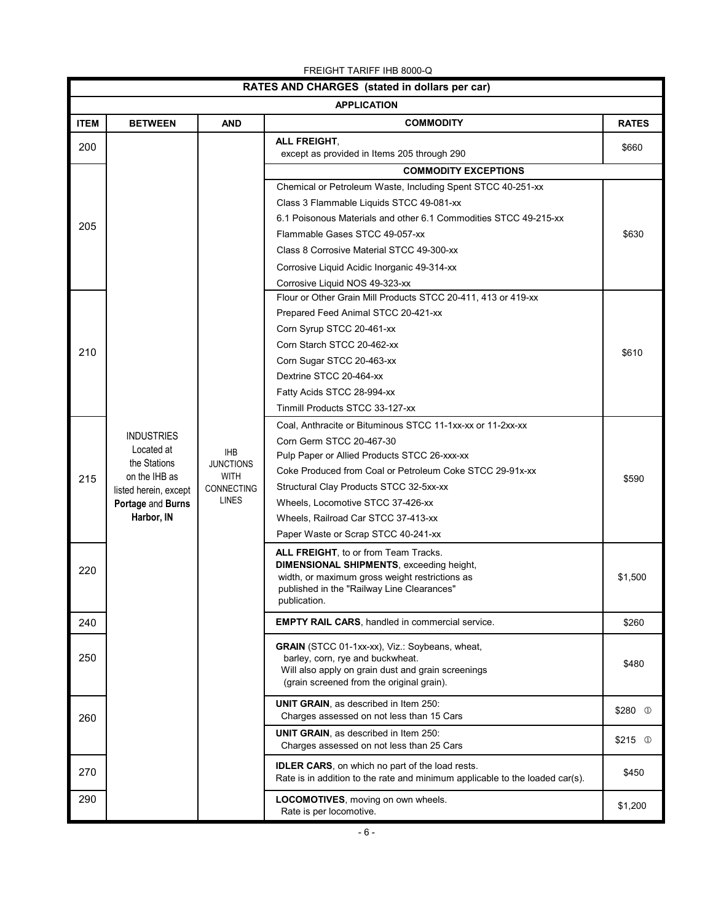| RATES AND CHARGES (stated in dollars per car) |                            |                                                             |                                                                                              |              |
|-----------------------------------------------|----------------------------|-------------------------------------------------------------|----------------------------------------------------------------------------------------------|--------------|
| <b>APPLICATION</b>                            |                            |                                                             |                                                                                              |              |
| <b>ITEM</b>                                   | <b>BETWEEN</b>             | <b>AND</b>                                                  | <b>COMMODITY</b>                                                                             | <b>RATES</b> |
| 200                                           |                            |                                                             | ALL FREIGHT,<br>except as provided in Items 205 through 290                                  | \$660        |
|                                               |                            |                                                             | <b>COMMODITY EXCEPTIONS</b>                                                                  |              |
| 205                                           |                            | Chemical or Petroleum Waste, Including Spent STCC 40-251-xx |                                                                                              |              |
|                                               |                            |                                                             | Class 3 Flammable Liquids STCC 49-081-xx                                                     |              |
|                                               |                            |                                                             | 6.1 Poisonous Materials and other 6.1 Commodities STCC 49-215-xx                             |              |
|                                               |                            |                                                             | Flammable Gases STCC 49-057-xx                                                               | \$630        |
|                                               |                            |                                                             | Class 8 Corrosive Material STCC 49-300-xx                                                    |              |
|                                               |                            |                                                             | Corrosive Liquid Acidic Inorganic 49-314-xx                                                  |              |
|                                               |                            |                                                             | Corrosive Liquid NOS 49-323-xx                                                               |              |
|                                               |                            |                                                             | Flour or Other Grain Mill Products STCC 20-411, 413 or 419-xx                                |              |
|                                               |                            |                                                             | Prepared Feed Animal STCC 20-421-xx                                                          |              |
|                                               |                            |                                                             | Corn Syrup STCC 20-461-xx                                                                    |              |
| 210                                           |                            |                                                             | Corn Starch STCC 20-462-xx                                                                   | \$610        |
|                                               |                            |                                                             | Corn Sugar STCC 20-463-xx                                                                    |              |
|                                               |                            |                                                             | Dextrine STCC 20-464-xx                                                                      |              |
|                                               |                            |                                                             | Fatty Acids STCC 28-994-xx                                                                   |              |
|                                               |                            |                                                             | Tinmill Products STCC 33-127-xx                                                              |              |
|                                               |                            |                                                             | Coal, Anthracite or Bituminous STCC 11-1xx-xx or 11-2xx-xx                                   |              |
|                                               | <b>INDUSTRIES</b>          |                                                             | Corn Germ STCC 20-467-30                                                                     |              |
|                                               | Located at<br>the Stations | <b>IHB</b><br><b>JUNCTIONS</b>                              | Pulp Paper or Allied Products STCC 26-xxx-xx                                                 |              |
| 215                                           | on the IHB as              | <b>WITH</b>                                                 | Coke Produced from Coal or Petroleum Coke STCC 29-91x-xx                                     | \$590        |
|                                               | listed herein, except      | <b>CONNECTING</b>                                           | Structural Clay Products STCC 32-5xx-xx                                                      |              |
|                                               | Portage and Burns          | <b>LINES</b>                                                | Wheels, Locomotive STCC 37-426-xx                                                            |              |
|                                               | Harbor, IN                 |                                                             | Wheels, Railroad Car STCC 37-413-xx                                                          |              |
|                                               |                            |                                                             | Paper Waste or Scrap STCC 40-241-xx                                                          |              |
|                                               |                            |                                                             | ALL FREIGHT, to or from Team Tracks.                                                         |              |
| 220                                           |                            |                                                             | <b>DIMENSIONAL SHIPMENTS, exceeding height,</b>                                              |              |
|                                               |                            |                                                             | width, or maximum gross weight restrictions as<br>published in the "Railway Line Clearances" | \$1,500      |
|                                               |                            |                                                             | publication.                                                                                 |              |
| 240                                           |                            |                                                             | <b>EMPTY RAIL CARS, handled in commercial service.</b>                                       | \$260        |
|                                               |                            |                                                             | GRAIN (STCC 01-1xx-xx), Viz.: Soybeans, wheat,                                               |              |
| 250                                           |                            |                                                             | barley, corn, rye and buckwheat.                                                             |              |
|                                               |                            |                                                             | Will also apply on grain dust and grain screenings                                           | \$480        |
|                                               |                            |                                                             | (grain screened from the original grain).                                                    |              |
|                                               |                            |                                                             | <b>UNIT GRAIN, as described in Item 250:</b>                                                 | $$280$ ①     |
| 260                                           |                            |                                                             | Charges assessed on not less than 15 Cars                                                    |              |
|                                               |                            |                                                             | <b>UNIT GRAIN, as described in Item 250:</b><br>Charges assessed on not less than 25 Cars    | $$215$ ①     |
|                                               |                            |                                                             | <b>IDLER CARS</b> , on which no part of the load rests.                                      |              |
| 270                                           |                            |                                                             | Rate is in addition to the rate and minimum applicable to the loaded car(s).                 | \$450        |
| 290                                           |                            |                                                             | LOCOMOTIVES, moving on own wheels.                                                           | \$1,200      |
|                                               |                            |                                                             | Rate is per locomotive.                                                                      |              |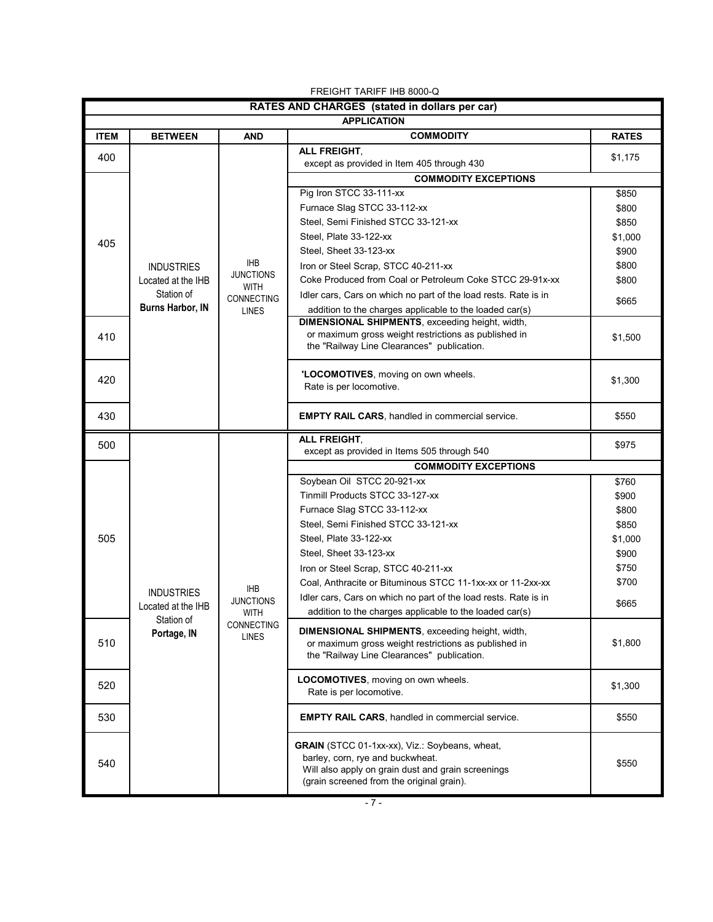| FREIGHT TARIFF IHB 8000-Q                     |                    |                                           |                                                                 |              |
|-----------------------------------------------|--------------------|-------------------------------------------|-----------------------------------------------------------------|--------------|
| RATES AND CHARGES (stated in dollars per car) |                    |                                           |                                                                 |              |
|                                               |                    |                                           | <b>APPLICATION</b>                                              |              |
| <b>ITEM</b>                                   | <b>BETWEEN</b>     | <b>AND</b>                                | <b>COMMODITY</b>                                                | <b>RATES</b> |
| 400                                           |                    |                                           | ALL FREIGHT,<br>except as provided in Item 405 through 430      | \$1,175      |
|                                               |                    |                                           | <b>COMMODITY EXCEPTIONS</b>                                     |              |
| 405                                           |                    |                                           | Pig Iron STCC 33-111-xx                                         | \$850        |
|                                               |                    |                                           | Furnace Slag STCC 33-112-xx                                     | \$800        |
|                                               |                    |                                           | Steel, Semi Finished STCC 33-121-xx                             | \$850        |
|                                               |                    |                                           | Steel, Plate 33-122-xx                                          | \$1,000      |
|                                               |                    |                                           | Steel, Sheet 33-123-xx                                          | \$900        |
|                                               | <b>INDUSTRIES</b>  | <b>IHB</b>                                | Iron or Steel Scrap, STCC 40-211-xx                             | \$800        |
|                                               | Located at the IHB | <b>JUNCTIONS</b>                          | Coke Produced from Coal or Petroleum Coke STCC 29-91x-xx        | \$800        |
|                                               | Station of         | <b>WITH</b><br>CONNECTING<br><b>LINES</b> | Idler cars, Cars on which no part of the load rests. Rate is in |              |
|                                               | Burns Harbor, IN   |                                           | addition to the charges applicable to the loaded car(s)         | \$665        |
|                                               |                    |                                           | DIMENSIONAL SHIPMENTS, exceeding height, width,                 |              |
| 410                                           |                    |                                           | or maximum gross weight restrictions as published in            | \$1,500      |
|                                               |                    |                                           | the "Railway Line Clearances" publication.                      |              |
|                                               |                    |                                           |                                                                 |              |
| 420                                           |                    |                                           | 'LOCOMOTIVES, moving on own wheels.                             | \$1,300      |
|                                               |                    |                                           | Rate is per locomotive.                                         |              |
| 430                                           |                    |                                           | <b>EMPTY RAIL CARS, handled in commercial service.</b>          | \$550        |
|                                               |                    |                                           |                                                                 |              |
| 500                                           |                    |                                           | ALL FREIGHT.                                                    | \$975        |
|                                               |                    |                                           | except as provided in Items 505 through 540                     |              |
|                                               |                    |                                           | <b>COMMODITY EXCEPTIONS</b>                                     |              |
|                                               |                    |                                           | Soybean Oil STCC 20-921-xx                                      | \$760        |
|                                               |                    |                                           | Tinmill Products STCC 33-127-xx                                 | \$900        |
|                                               |                    |                                           | Furnace Slag STCC 33-112-xx                                     | \$800        |
|                                               |                    |                                           | Steel, Semi Finished STCC 33-121-xx                             | \$850        |
| 505                                           |                    |                                           | Steel, Plate 33-122-xx                                          | \$1,000      |
|                                               | <b>INDUSTRIES</b>  |                                           | Steel, Sheet 33-123-xx                                          | \$900        |
|                                               |                    | <b>IHB</b>                                | Iron or Steel Scrap, STCC 40-211-xx                             | \$750        |
|                                               |                    |                                           | Coal, Anthracite or Bituminous STCC 11-1xx-xx or 11-2xx-xx      | \$700        |
|                                               | Located at the IHB | <b>JUNCTIONS</b>                          | Idler cars, Cars on which no part of the load rests. Rate is in | \$665        |
|                                               | Station of         | <b>WITH</b>                               | addition to the charges applicable to the loaded car(s)         |              |
|                                               | Portage, IN        | CONNECTING<br><b>LINES</b>                | <b>DIMENSIONAL SHIPMENTS, exceeding height, width,</b>          |              |
| 510                                           |                    |                                           | or maximum gross weight restrictions as published in            | \$1,800      |
|                                               |                    |                                           | the "Railway Line Clearances" publication.                      |              |
|                                               |                    |                                           | LOCOMOTIVES, moving on own wheels.                              |              |
| 520                                           |                    |                                           | Rate is per locomotive.                                         | \$1,300      |
|                                               |                    |                                           |                                                                 |              |
| 530                                           |                    |                                           | <b>EMPTY RAIL CARS, handled in commercial service.</b>          | \$550        |
|                                               |                    |                                           | GRAIN (STCC 01-1xx-xx), Viz.: Soybeans, wheat,                  |              |
| 540                                           |                    |                                           | barley, corn, rye and buckwheat.                                | \$550        |
|                                               |                    |                                           | Will also apply on grain dust and grain screenings              |              |
|                                               |                    |                                           | (grain screened from the original grain).                       |              |